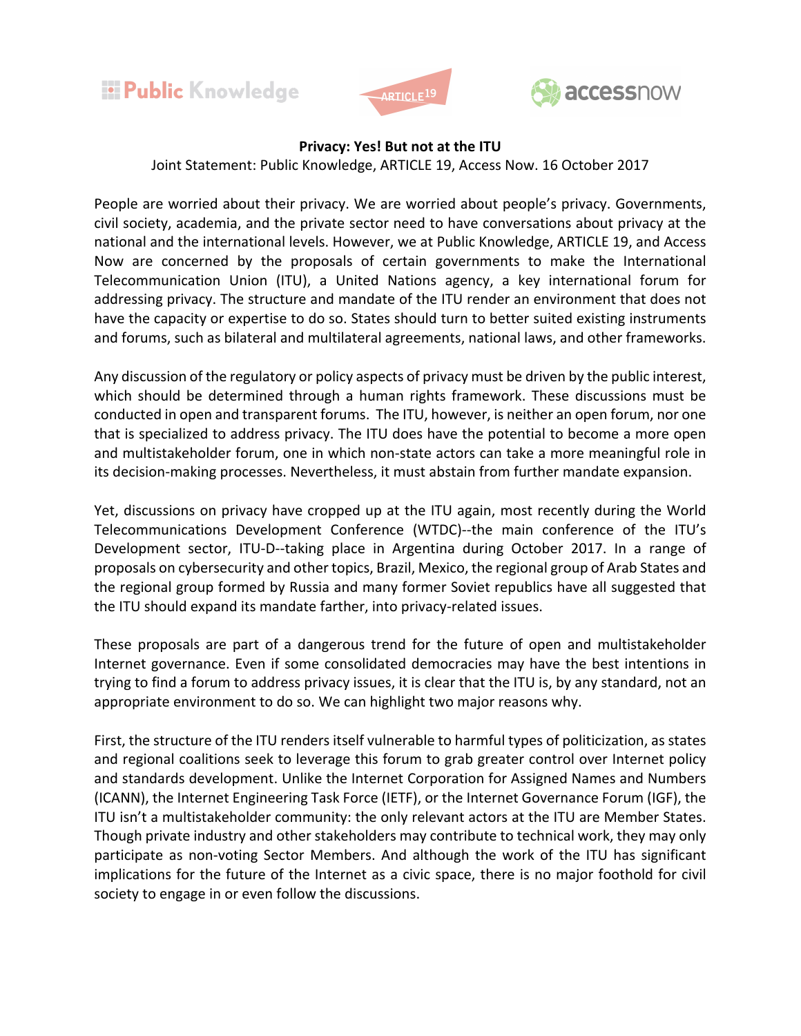





## **Privacy: Yes! But not at the ITU**

Joint Statement: Public Knowledge, ARTICLE 19, Access Now. 16 October 2017

People are worried about their privacy. We are worried about people's privacy. Governments, civil society, academia, and the private sector need to have conversations about privacy at the national and the international levels. However, we at Public Knowledge, ARTICLE 19, and Access Now are concerned by the proposals of certain governments to make the International Telecommunication Union (ITU), a United Nations agency, a key international forum for addressing privacy. The structure and mandate of the ITU render an environment that does not have the capacity or expertise to do so. States should turn to better suited existing instruments and forums, such as bilateral and multilateral agreements, national laws, and other frameworks.

Any discussion of the regulatory or policy aspects of privacy must be driven by the public interest, which should be determined through a human rights framework. These discussions must be conducted in open and transparent forums. The ITU, however, is neither an open forum, nor one that is specialized to address privacy. The ITU does have the potential to become a more open and multistakeholder forum, one in which non-state actors can take a more meaningful role in its decision-making processes. Nevertheless, it must abstain from further mandate expansion.

Yet, discussions on privacy have cropped up at the ITU again, most recently during the World Telecommunications Development Conference (WTDC)--the main conference of the ITU's Development sector, ITU-D--taking place in Argentina during October 2017. In a range of proposals on cybersecurity and other topics, Brazil, Mexico, the regional group of Arab States and the regional group formed by Russia and many former Soviet republics have all suggested that the ITU should expand its mandate farther, into privacy-related issues.

These proposals are part of a dangerous trend for the future of open and multistakeholder Internet governance. Even if some consolidated democracies may have the best intentions in trying to find a forum to address privacy issues, it is clear that the ITU is, by any standard, not an appropriate environment to do so. We can highlight two major reasons why.

First, the structure of the ITU renders itself vulnerable to harmful types of politicization, as states and regional coalitions seek to leverage this forum to grab greater control over Internet policy and standards development. Unlike the Internet Corporation for Assigned Names and Numbers (ICANN), the Internet Engineering Task Force (IETF), or the Internet Governance Forum (IGF), the ITU isn't a multistakeholder community: the only relevant actors at the ITU are Member States. Though private industry and other stakeholders may contribute to technical work, they may only participate as non-voting Sector Members. And although the work of the ITU has significant implications for the future of the Internet as a civic space, there is no major foothold for civil society to engage in or even follow the discussions.